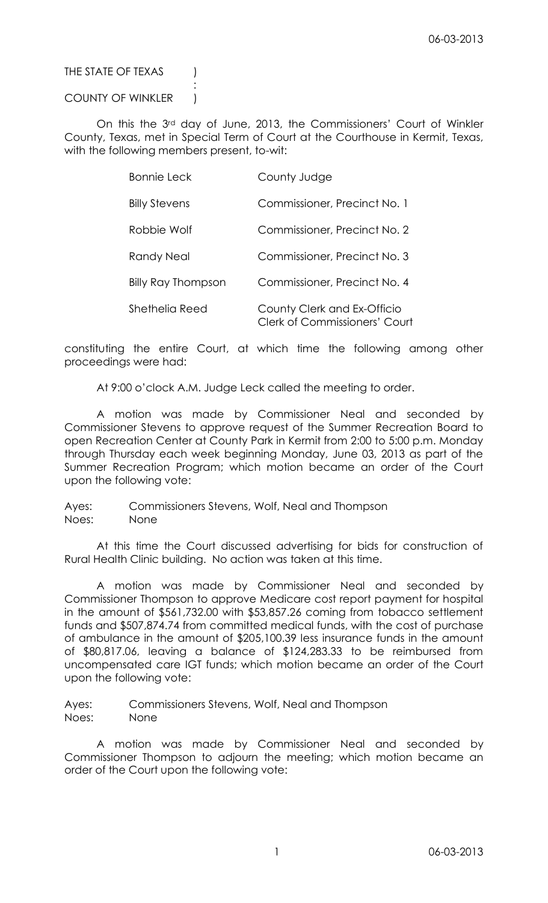THE STATE OF TEXAS (

## COUNTY OF WINKLER )

:

On this the 3rd day of June, 2013, the Commissioners' Court of Winkler County, Texas, met in Special Term of Court at the Courthouse in Kermit, Texas, with the following members present, to-wit:

| <b>Bonnie Leck</b>        | County Judge                                                        |
|---------------------------|---------------------------------------------------------------------|
| <b>Billy Stevens</b>      | Commissioner, Precinct No. 1                                        |
| Robbie Wolf               | Commissioner, Precinct No. 2                                        |
| Randy Neal                | Commissioner, Precinct No. 3                                        |
| <b>Billy Ray Thompson</b> | Commissioner, Precinct No. 4                                        |
| Shethelia Reed            | County Clerk and Ex-Officio<br><b>Clerk of Commissioners' Court</b> |

constituting the entire Court, at which time the following among other proceedings were had:

At 9:00 o'clock A.M. Judge Leck called the meeting to order.

A motion was made by Commissioner Neal and seconded by Commissioner Stevens to approve request of the Summer Recreation Board to open Recreation Center at County Park in Kermit from 2:00 to 5:00 p.m. Monday through Thursday each week beginning Monday, June 03, 2013 as part of the Summer Recreation Program; which motion became an order of the Court upon the following vote:

Ayes: Commissioners Stevens, Wolf, Neal and Thompson Noes: None

At this time the Court discussed advertising for bids for construction of Rural Health Clinic building. No action was taken at this time.

A motion was made by Commissioner Neal and seconded by Commissioner Thompson to approve Medicare cost report payment for hospital in the amount of \$561,732.00 with \$53,857.26 coming from tobacco settlement funds and \$507,874.74 from committed medical funds, with the cost of purchase of ambulance in the amount of \$205,100.39 less insurance funds in the amount of \$80,817.06, leaving a balance of \$124,283.33 to be reimbursed from uncompensated care IGT funds; which motion became an order of the Court upon the following vote:

Ayes: Commissioners Stevens, Wolf, Neal and Thompson Noes: None

A motion was made by Commissioner Neal and seconded by Commissioner Thompson to adjourn the meeting; which motion became an order of the Court upon the following vote: